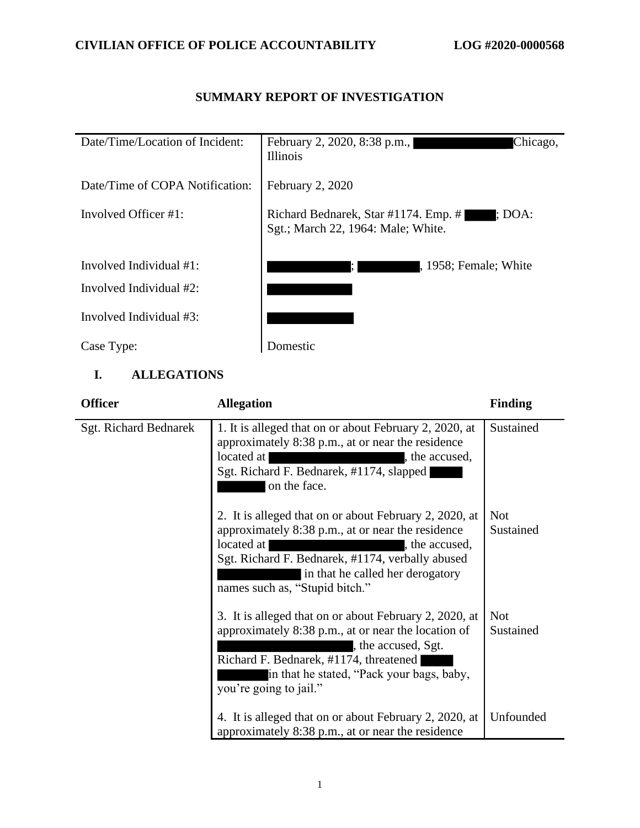# Date/Time/Location of Incident: February 2, 2020, 8:38 p.m., Illinois Date/Time of COPA Notification: February 2, 2020 Involved Officer #1: Richard Bednarek, Star #1174. Emp. # ; DOA: Sgt.; March 22, 1964: Male; White. Involved Individual #1:  $\blacksquare$ , 1958; Female; White Involved Individual #2: Involved Individual #3: Case Type: Domestic

## **SUMMARY REPORT OF INVESTIGATION**

## **I. ALLEGATIONS**

| <b>Officer</b>        | <b>Allegation</b>                                                                                                                                                                                                                                                   | <b>Finding</b>          |
|-----------------------|---------------------------------------------------------------------------------------------------------------------------------------------------------------------------------------------------------------------------------------------------------------------|-------------------------|
| Sgt. Richard Bednarek | 1. It is alleged that on or about February 2, 2020, at<br>approximately 8:38 p.m., at or near the residence<br>located at<br>, the accused,<br>Sgt. Richard F. Bednarek, #1174, slapped<br>on the face.                                                             | Sustained               |
|                       | 2. It is alleged that on or about February 2, 2020, at<br>approximately 8:38 p.m., at or near the residence<br>located at<br>the accused,<br>Sgt. Richard F. Bednarek, #1174, verbally abused<br>in that he called her derogatory<br>names such as, "Stupid bitch." | <b>Not</b><br>Sustained |
|                       | 3. It is alleged that on or about February 2, 2020, at<br>approximately 8:38 p.m., at or near the location of<br>the accused, Sgt.<br>Richard F. Bednarek, #1174, threatened<br>in that he stated, "Pack your bags, baby,<br>you're going to jail."                 | <b>Not</b><br>Sustained |
|                       | 4. It is alleged that on or about February 2, 2020, at<br>approximately 8:38 p.m., at or near the residence                                                                                                                                                         | Unfounded               |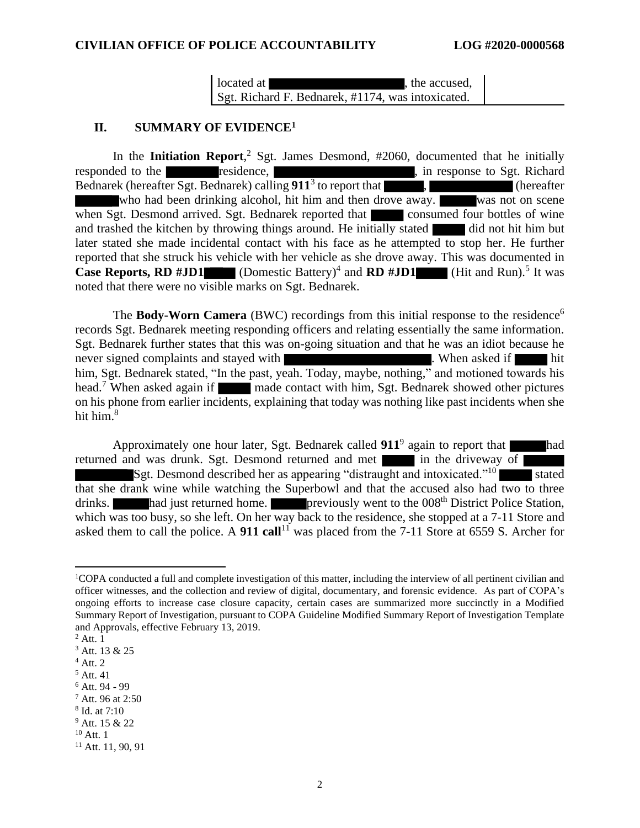#### **CIVILIAN OFFICE OF POLICE ACCOUNTABILITY LOG #2020-0000568**

located at  $\qquad \qquad$  , the accused, Sgt. Richard F. Bednarek, #1174, was intoxicated.

#### **II. SUMMARY OF EVIDENCE<sup>1</sup>**

In the **Initiation Report**, <sup>2</sup> Sgt. James Desmond, #2060, documented that he initially responded to the residence, response to Sgt. Richard Bednarek (hereafter Sgt. Bednarek) calling  $911<sup>3</sup>$  to report that  $\overline{\phantom{a}}$ , (hereafter who had been drinking alcohol, hit him and then drove away. was not on scene when Sgt. Desmond arrived. Sgt. Bednarek reported that consumed four bottles of wine and trashed the kitchen by throwing things around. He initially stated did not hit him but later stated she made incidental contact with his face as he attempted to stop her. He further reported that she struck his vehicle with her vehicle as she drove away. This was documented in **Case Reports, RD #JD1** (Domestic Battery)<sup>4</sup> and **RD #JD1** (Hit and Run).<sup>5</sup> It was noted that there were no visible marks on Sgt. Bednarek.

The **Body-Worn Camera** (BWC) recordings from this initial response to the residence<sup>6</sup> records Sgt. Bednarek meeting responding officers and relating essentially the same information. Sgt. Bednarek further states that this was on-going situation and that he was an idiot because he never signed complaints and stayed with **the complaints**. When asked if hit him, Sgt. Bednarek stated, "In the past, yeah. Today, maybe, nothing," and motioned towards his head.<sup>7</sup> When asked again if made contact with him, Sgt. Bednarek showed other pictures on his phone from earlier incidents, explaining that today was nothing like past incidents when she hit him.<sup>8</sup>

Approximately one hour later, Sgt. Bednarek called  $911^9$  again to report that had returned and was drunk. Sgt. Desmond returned and met in the driveway of Sgt. Desmond described her as appearing "distraught and intoxicated."<sup>10</sup> stated that she drank wine while watching the Superbowl and that the accused also had two to three drinks. had just returned home. previously went to the 008<sup>th</sup> District Police Station, which was too busy, so she left. On her way back to the residence, she stopped at a 7-11 Store and asked them to call the police. A **911 call**<sup>11</sup> was placed from the 7-11 Store at 6559 S. Archer for

<sup>1</sup>COPA conducted a full and complete investigation of this matter, including the interview of all pertinent civilian and officer witnesses, and the collection and review of digital, documentary, and forensic evidence. As part of COPA's ongoing efforts to increase case closure capacity, certain cases are summarized more succinctly in a Modified Summary Report of Investigation, pursuant to COPA Guideline Modified Summary Report of Investigation Template and Approvals, effective February 13, 2019.

 $2$  Att. 1

<sup>3</sup> Att. 13 & 25

 $4$  Att. 2

 $5$  Att. 41

<sup>6</sup> Att. 94 - 99

<sup>7</sup> Att. 96 at 2:50

<sup>8</sup> Id. at 7:10

<sup>9</sup> Att. 15 & 22

 $10$  Att. 1

 $11$  Att. 11, 90, 91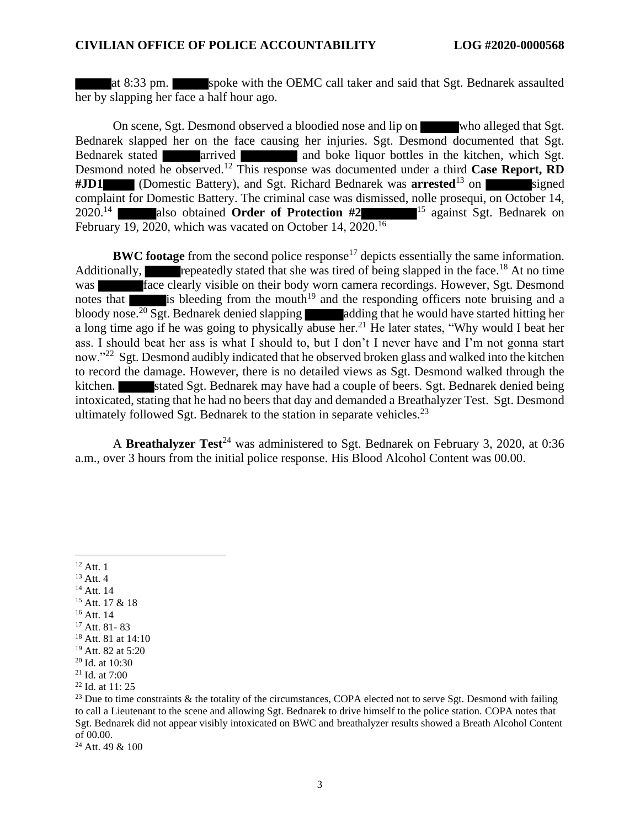at 8:33 pm. spoke with the OEMC call taker and said that Sgt. Bednarek assaulted her by slapping her face a half hour ago.

On scene, Sgt. Desmond observed a bloodied nose and lip on who alleged that Sgt. Bednarek slapped her on the face causing her injuries. Sgt. Desmond documented that Sgt. Bednarek stated **arrived** and boke liquor bottles in the kitchen, which Sgt. Desmond noted he observed.<sup>12</sup> This response was documented under a third **Case Report, RD #JD1** (Domestic Battery), and Sgt. Richard Bednarek was **arrested**<sup>13</sup> on signed complaint for Domestic Battery. The criminal case was dismissed, nolle prosequi, on October 14, 2020.<sup>14</sup> also obtained **Order of Protection #2** <sup>15</sup> against Sgt. Bednarek on February 19, 2020, which was vacated on October 14, 2020.<sup>16</sup>

**BWC footage** from the second police response<sup>17</sup> depicts essentially the same information. Additionally, repeatedly stated that she was tired of being slapped in the face.<sup>18</sup> At no time was **face clearly visible on their body worn camera recordings. However, Sgt. Desmond** notes that is bleeding from the mouth<sup>19</sup> and the responding officers note bruising and a bloody nose.<sup>20</sup> Sgt. Bednarek denied slapping adding that he would have started hitting her a long time ago if he was going to physically abuse her.<sup>21</sup> He later states, "Why would I beat her ass. I should beat her ass is what I should to, but I don't I never have and I'm not gonna start now."<sup>22</sup> Sgt. Desmond audibly indicated that he observed broken glass and walked into the kitchen to record the damage. However, there is no detailed views as Sgt. Desmond walked through the kitchen. Stated Sgt. Bednarek may have had a couple of beers. Sgt. Bednarek denied being intoxicated, stating that he had no beers that day and demanded a Breathalyzer Test. Sgt. Desmond ultimately followed Sgt. Bednarek to the station in separate vehicles.<sup>23</sup>

A **Breathalyzer Test**<sup>24</sup> was administered to Sgt. Bednarek on February 3, 2020, at 0:36 a.m., over 3 hours from the initial police response. His Blood Alcohol Content was 00.00.

- <sup>13</sup> Att. 4
- <sup>14</sup> Att. 14
- <sup>15</sup> Att. 17 & 18
- <sup>16</sup> Att. 14
- <sup>17</sup> Att. 81- 83
- <sup>18</sup> Att. 81 at 14:10

<sup>24</sup> Att. 49 & 100

 $12$  Att. 1

<sup>19</sup> Att. 82 at 5:20

<sup>20</sup> Id. at 10:30

 $21$  Id. at 7:00

<sup>22</sup> Id. at 11: 25

 $23$  Due to time constraints & the totality of the circumstances, COPA elected not to serve Sgt. Desmond with failing to call a Lieutenant to the scene and allowing Sgt. Bednarek to drive himself to the police station. COPA notes that Sgt. Bednarek did not appear visibly intoxicated on BWC and breathalyzer results showed a Breath Alcohol Content of 00.00.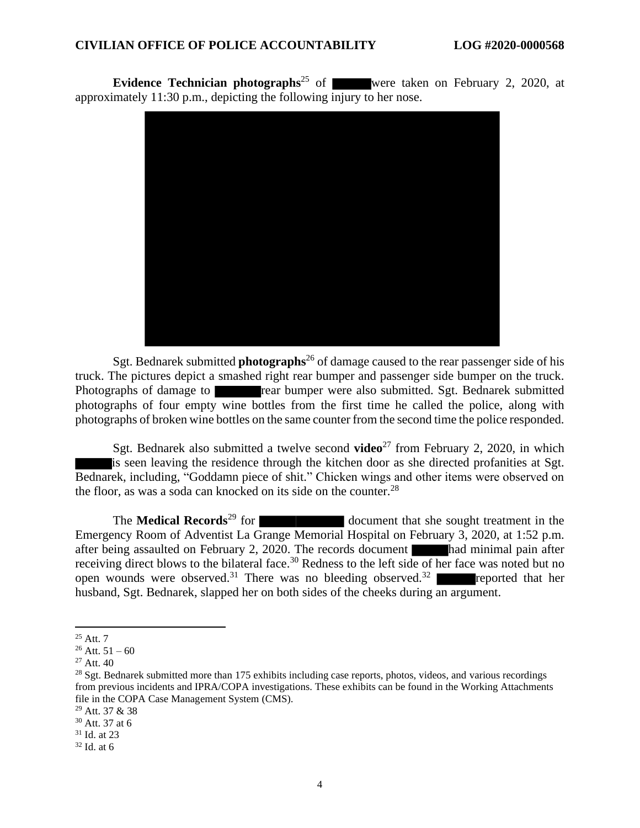**Evidence Technician photographs**<sup>25</sup> of were taken on February 2, 2020, at approximately 11:30 p.m., depicting the following injury to her nose.



Sgt. Bednarek submitted **photographs**<sup>26</sup> of damage caused to the rear passenger side of his truck. The pictures depict a smashed right rear bumper and passenger side bumper on the truck. Photographs of damage to rear bumper were also submitted. Sgt. Bednarek submitted photographs of four empty wine bottles from the first time he called the police, along with photographs of broken wine bottles on the same counter from the second time the police responded.

Sgt. Bednarek also submitted a twelve second **video**<sup>27</sup> from February 2, 2020, in which is seen leaving the residence through the kitchen door as she directed profanities at Sgt. Bednarek, including, "Goddamn piece of shit." Chicken wings and other items were observed on the floor, as was a soda can knocked on its side on the counter.<sup>28</sup>

The **Medical Records**<sup>29</sup> for document that she sought treatment in the Emergency Room of Adventist La Grange Memorial Hospital on February 3, 2020, at 1:52 p.m. after being assaulted on February 2, 2020. The records document had minimal pain after receiving direct blows to the bilateral face.<sup>30</sup> Redness to the left side of her face was noted but no open wounds were observed.<sup>31</sup> There was no bleeding observed.<sup>32</sup> reported that her husband, Sgt. Bednarek, slapped her on both sides of the cheeks during an argument.

 $25$  Att. 7

 $26$  Att.  $51 - 60$ 

 $27$  Att. 40

 $^{28}$  Sgt. Bednarek submitted more than 175 exhibits including case reports, photos, videos, and various recordings from previous incidents and IPRA/COPA investigations. These exhibits can be found in the Working Attachments file in the COPA Case Management System (CMS).

<sup>29</sup> Att. 37 & 38

<sup>30</sup> Att. 37 at 6

<sup>31</sup> Id. at 23

 $32$  Id. at 6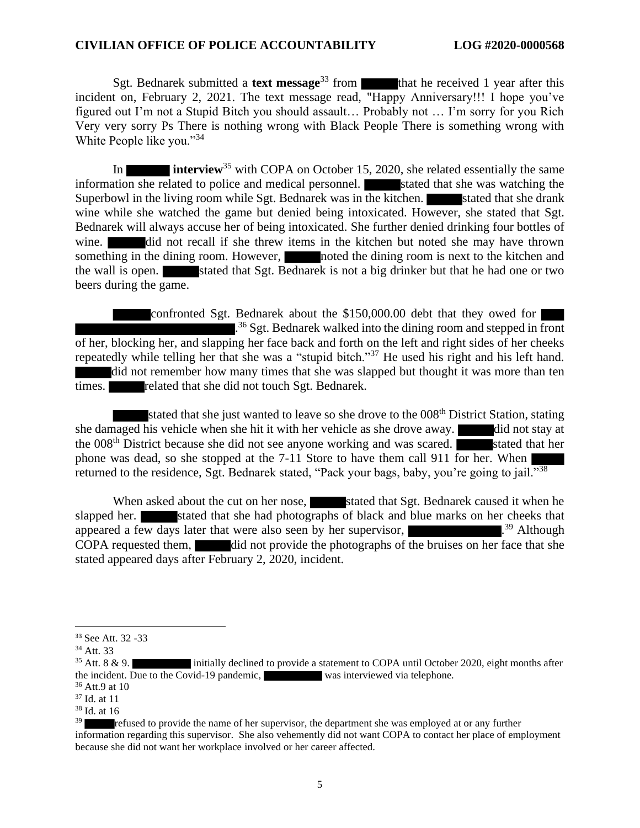Sgt. Bednarek submitted a **text message**<sup>33</sup> from that he received 1 year after this incident on, February 2, 2021. The text message read, "Happy Anniversary!!! I hope you've figured out I'm not a Stupid Bitch you should assault… Probably not … I'm sorry for you Rich Very very sorry Ps There is nothing wrong with Black People There is something wrong with White People like you."<sup>34</sup>

In **interview**<sup>35</sup> with COPA on October 15, 2020, she related essentially the same information she related to police and medical personnel. Stated that she was watching the Superbowl in the living room while Sgt. Bednarek was in the kitchen. Stated that she drank wine while she watched the game but denied being intoxicated. However, she stated that Sgt. Bednarek will always accuse her of being intoxicated. She further denied drinking four bottles of wine. **did** not recall if she threw items in the kitchen but noted she may have thrown something in the dining room. However, noted the dining room is next to the kitchen and the wall is open. Stated that Sgt. Bednarek is not a big drinker but that he had one or two beers during the game.

confronted Sgt. Bednarek about the \$150,000.00 debt that they owed for <sup>36</sup> Sgt. Bednarek walked into the dining room and stepped in front of her, blocking her, and slapping her face back and forth on the left and right sides of her cheeks repeatedly while telling her that she was a "stupid bitch."<sup>37</sup> He used his right and his left hand. did not remember how many times that she was slapped but thought it was more than ten times. **related that she did not touch Sgt. Bednarek.** 

stated that she just wanted to leave so she drove to the 008<sup>th</sup> District Station, stating she damaged his vehicle when she hit it with her vehicle as she drove away. did not stay at the  $008<sup>th</sup>$  District because she did not see anyone working and was scared. stated that her phone was dead, so she stopped at the 7-11 Store to have them call 911 for her. When returned to the residence, Sgt. Bednarek stated, "Pack your bags, baby, you're going to jail."<sup>38</sup>

When asked about the cut on her nose, stated that Sgt. Bednarek caused it when he slapped her. stated that she had photographs of black and blue marks on her cheeks that appeared a few days later that were also seen by her supervisor, .  $39$  Although COPA requested them, did not provide the photographs of the bruises on her face that she stated appeared days after February 2, 2020, incident.

<sup>33</sup> See Att. 32 -33

 $34$  Att. 33<br> $35$  Att. 8 & 9. initially declined to provide a statement to COPA until October 2020, eight months after the incident. Due to the Covid-19 pandemic, was interviewed via telephone.

<sup>36</sup> Att.9 at 10

<sup>37</sup> Id. at 11

 $38$  Id. at 16

refused to provide the name of her supervisor, the department she was employed at or any further information regarding this supervisor. She also vehemently did not want COPA to contact her place of employment because she did not want her workplace involved or her career affected.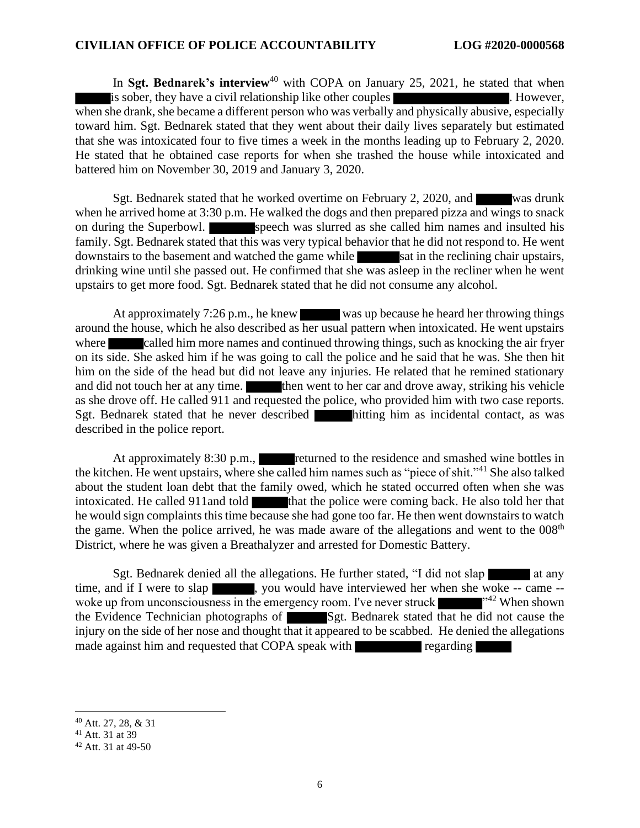#### **CIVILIAN OFFICE OF POLICE ACCOUNTABILITY LOG #2020-0000568**

In **Sgt. Bednarek's interview**<sup>40</sup> with COPA on January 25, 2021, he stated that when is sober, they have a civil relationship like other couples . However, when she drank, she became a different person who was verbally and physically abusive, especially toward him. Sgt. Bednarek stated that they went about their daily lives separately but estimated that she was intoxicated four to five times a week in the months leading up to February 2, 2020. He stated that he obtained case reports for when she trashed the house while intoxicated and battered him on November 30, 2019 and January 3, 2020.

Sgt. Bednarek stated that he worked overtime on February 2, 2020, and was drunk when he arrived home at 3:30 p.m. He walked the dogs and then prepared pizza and wings to snack on during the Superbowl. Speech was slurred as she called him names and insulted his family. Sgt. Bednarek stated that this was very typical behavior that he did not respond to. He went downstairs to the basement and watched the game while sat in the reclining chair upstairs, drinking wine until she passed out. He confirmed that she was asleep in the recliner when he went upstairs to get more food. Sgt. Bednarek stated that he did not consume any alcohol.

At approximately 7:26 p.m., he knew was up because he heard her throwing things around the house, which he also described as her usual pattern when intoxicated. He went upstairs where called him more names and continued throwing things, such as knocking the air fryer on its side. She asked him if he was going to call the police and he said that he was. She then hit him on the side of the head but did not leave any injuries. He related that he remined stationary and did not touch her at any time. **then** went to her car and drove away, striking his vehicle as she drove off. He called 911 and requested the police, who provided him with two case reports. Sgt. Bednarek stated that he never described hitting him as incidental contact, as was described in the police report.

At approximately 8:30 p.m., returned to the residence and smashed wine bottles in the kitchen. He went upstairs, where she called him names such as "piece of shit."<sup>41</sup> She also talked about the student loan debt that the family owed, which he stated occurred often when she was intoxicated. He called 911and told that the police were coming back. He also told her that he would sign complaints this time because she had gone too far. He then went downstairs to watch the game. When the police arrived, he was made aware of the allegations and went to the  $008<sup>th</sup>$ District, where he was given a Breathalyzer and arrested for Domestic Battery.

Sgt. Bednarek denied all the allegations. He further stated, "I did not slap at any time, and if I were to slap , you would have interviewed her when she woke -- came -woke up from unconsciousness in the emergency room. I've never struck  $\blacksquare$  <sup>242</sup> When shown the Evidence Technician photographs of Sgt. Bednarek stated that he did not cause the injury on the side of her nose and thought that it appeared to be scabbed. He denied the allegations made against him and requested that COPA speak with regarding

<sup>40</sup> Att. 27, 28, & 31

<sup>41</sup> Att. 31 at 39

 $42$  Att. 31 at 49-50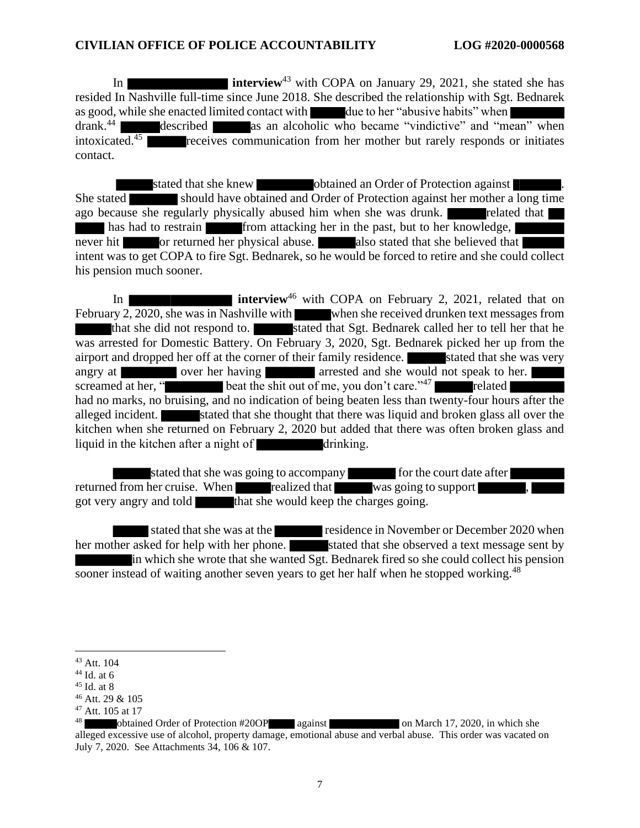In **interview**<sup>43</sup> with COPA on January 29, 2021, she stated she has resided In Nashville full-time since June 2018. She described the relationship with Sgt. Bednarek as good, while she enacted limited contact with due to her "abusive habits" when drank.<sup>44</sup> described as an alcoholic who became "vindictive" and "mean" when intoxicated.<sup>45</sup> receives communication from her mother but rarely responds or initiates contact.

stated that she knew obtained an Order of Protection against She stated should have obtained and Order of Protection against her mother a long time ago because she regularly physically abused him when she was drunk. The related that has had to restrain from attacking her in the past, but to her knowledge, never hit or returned her physical abuse. The also stated that she believed that intent was to get COPA to fire Sgt. Bednarek, so he would be forced to retire and she could collect his pension much sooner.

In **interview**<sup>46</sup> with COPA on February 2, 2021, related that on February 2, 2020, she was in Nashville with when she received drunken text messages from that she did not respond to. stated that Sgt. Bednarek called her to tell her that he was arrested for Domestic Battery. On February 3, 2020, Sgt. Bednarek picked her up from the airport and dropped her off at the corner of their family residence. Stated that she was very angry at over her having arrested and she would not speak to her. screamed at her, " beat the shit out of me, you don't care."<sup>47</sup> related had no marks, no bruising, and no indication of being beaten less than twenty-four hours after the alleged incident. Stated that she thought that there was liquid and broken glass all over the kitchen when she returned on February 2, 2020 but added that there was often broken glass and liquid in the kitchen after a night of  $\blacksquare$  drinking.

stated that she was going to accompany for the court date after returned from her cruise. When realized that was going to support got very angry and told that she would keep the charges going.

stated that she was at the residence in November or December 2020 when her mother asked for help with her phone. stated that she observed a text message sent by in which she wrote that she wanted Sgt. Bednarek fired so she could collect his pension sooner instead of waiting another seven years to get her half when he stopped working.<sup>48</sup>

<sup>43</sup> Att. 104

 $44$  Id. at 6

<sup>45</sup> Id. at 8

<sup>46</sup> Att. 29 & 105

<sup>47</sup> Att. 105 at 17

<sup>48</sup> obtained Order of Protection #20OP against on March 17, 2020, in which she alleged excessive use of alcohol, property damage, emotional abuse and verbal abuse. This order was vacated on July 7, 2020. See Attachments 34, 106 & 107.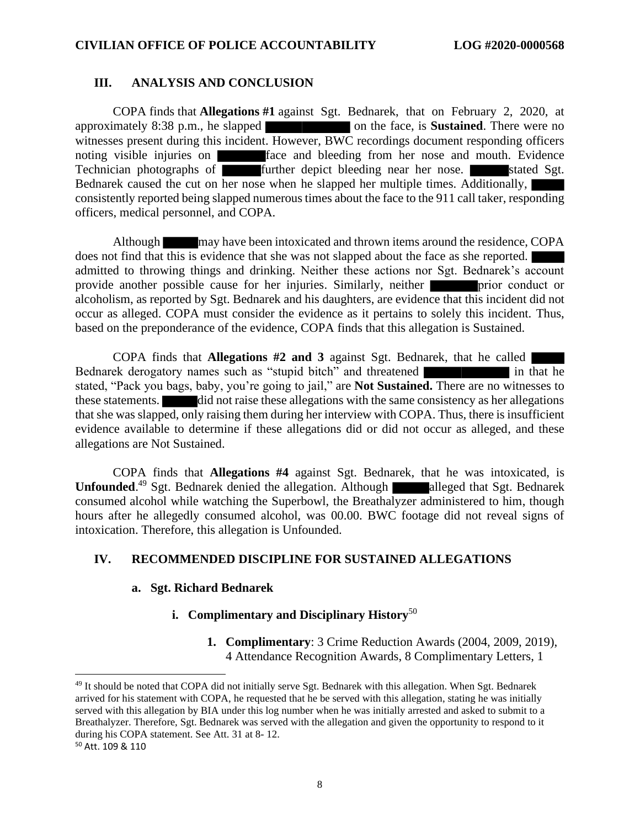#### **III. ANALYSIS AND CONCLUSION**

COPA finds that **Allegations #1** against Sgt. Bednarek, that on February 2, 2020, at approximately 8:38 p.m., he slapped on the face, is **Sustained**. There were no witnesses present during this incident. However, BWC recordings document responding officers noting visible injuries on **face** and bleeding from her nose and mouth. Evidence Technician photographs of  $\overline{f}$  further depict bleeding near her nose.  $\overline{g}$  stated Sgt. Bednarek caused the cut on her nose when he slapped her multiple times. Additionally, consistently reported being slapped numerous times about the face to the 911 call taker, responding officers, medical personnel, and COPA.

Although may have been intoxicated and thrown items around the residence, COPA does not find that this is evidence that she was not slapped about the face as she reported. admitted to throwing things and drinking. Neither these actions nor Sgt. Bednarek's account provide another possible cause for her injuries. Similarly, neither **prior** prior conduct or alcoholism, as reported by Sgt. Bednarek and his daughters, are evidence that this incident did not occur as alleged. COPA must consider the evidence as it pertains to solely this incident. Thus, based on the preponderance of the evidence, COPA finds that this allegation is Sustained.

COPA finds that **Allegations #2 and 3** against Sgt. Bednarek, that he called Bednarek derogatory names such as "stupid bitch" and threatened in that he stated, "Pack you bags, baby, you're going to jail," are **Not Sustained.** There are no witnesses to these statements. did not raise these allegations with the same consistency as her allegations that she was slapped, only raising them during her interview with COPA. Thus, there is insufficient evidence available to determine if these allegations did or did not occur as alleged, and these allegations are Not Sustained.

COPA finds that **Allegations #4** against Sgt. Bednarek, that he was intoxicated, is Unfounded.<sup>49</sup> Sgt. Bednarek denied the allegation. Although alleged that Sgt. Bednarek consumed alcohol while watching the Superbowl, the Breathalyzer administered to him, though hours after he allegedly consumed alcohol, was 00.00. BWC footage did not reveal signs of intoxication. Therefore, this allegation is Unfounded.

#### **IV. RECOMMENDED DISCIPLINE FOR SUSTAINED ALLEGATIONS**

#### **a. Sgt. Richard Bednarek**

#### **i. Complimentary and Disciplinary History**<sup>50</sup>

**1. Complimentary**: 3 Crime Reduction Awards (2004, 2009, 2019), 4 Attendance Recognition Awards, 8 Complimentary Letters, 1

<sup>49</sup> It should be noted that COPA did not initially serve Sgt. Bednarek with this allegation. When Sgt. Bednarek arrived for his statement with COPA, he requested that he be served with this allegation, stating he was initially served with this allegation by BIA under this log number when he was initially arrested and asked to submit to a Breathalyzer. Therefore, Sgt. Bednarek was served with the allegation and given the opportunity to respond to it during his COPA statement. See Att. 31 at 8- 12.

<sup>50</sup> Att. 109 & 110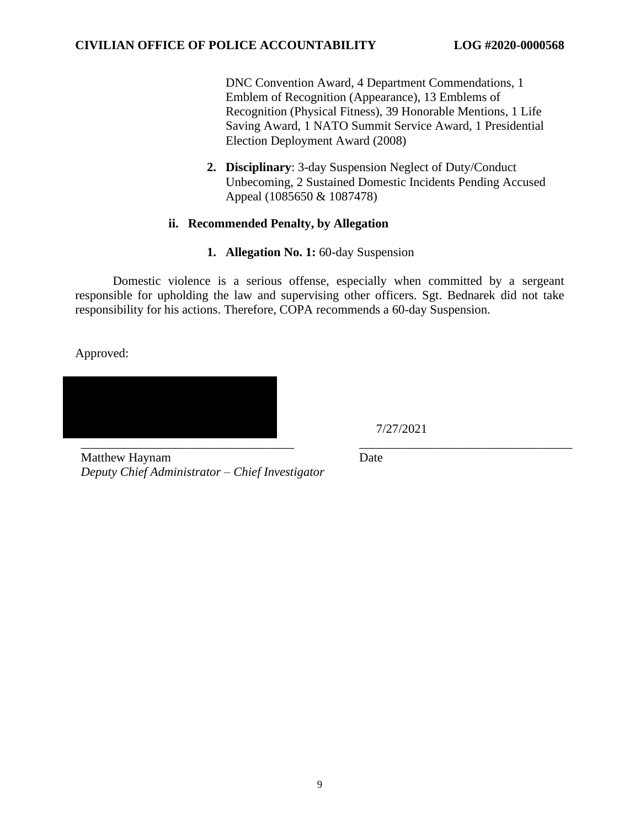DNC Convention Award, 4 Department Commendations, 1 Emblem of Recognition (Appearance), 13 Emblems of Recognition (Physical Fitness), 39 Honorable Mentions, 1 Life Saving Award, 1 NATO Summit Service Award, 1 Presidential Election Deployment Award (2008)

**2. Disciplinary**: 3-day Suspension Neglect of Duty/Conduct Unbecoming, 2 Sustained Domestic Incidents Pending Accused Appeal (1085650 & 1087478)

## **ii. Recommended Penalty, by Allegation**

**1. Allegation No. 1:** 60-day Suspension

Domestic violence is a serious offense, especially when committed by a sergeant responsible for upholding the law and supervising other officers. Sgt. Bednarek did not take responsibility for his actions. Therefore, COPA recommends a 60-day Suspension.

Approved:

\_\_\_\_\_\_\_\_\_\_\_\_\_\_\_\_\_\_\_\_\_\_\_\_\_\_\_\_\_\_\_\_\_\_ \_\_\_\_\_\_\_\_\_\_\_\_\_\_\_\_\_\_\_\_\_\_\_\_\_\_\_\_\_\_\_\_\_\_

7/27/2021

Matthew Haynam *Deputy Chief Administrator – Chief Investigator* Date